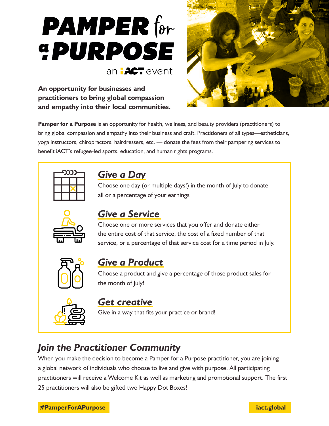

**An opportunity for businesses and practitioners to bring global compassion and empathy into their local communities.** 



**Pamper for a Purpose** is an opportunity for health, wellness, and beauty providers (practitioners) to bring global compassion and empathy into their business and craft. Practitioners of all types—estheticians, yoga instructors, chiropractors, hairdressers, etc. — donate the fees from their pampering services to benefit iACT's refugee-led sports, education, and human rights programs.



## *Give a Day*

Choose one day (or multiple days!) in the month of July to donate all or a percentage of your earnings



## *Give a Service*

Choose one or more services that you offer and donate either the entire cost of that service, the cost of a fixed number of that service, or a percentage of that service cost for a time period in July.



### *Give a Product*

Choose a product and give a percentage of those product sales for the month of July!



#### *Get creative*

Give in a way that fits your practice or brand!

# *Join the Practitioner Community*

When you make the decision to become a Pamper for a Purpose practitioner, you are joining a global network of individuals who choose to live and give with purpose. All participating practitioners will receive a Welcome Kit as well as marketing and promotional support. The first 25 practitioners will also be gifted two Happy Dot Boxes!